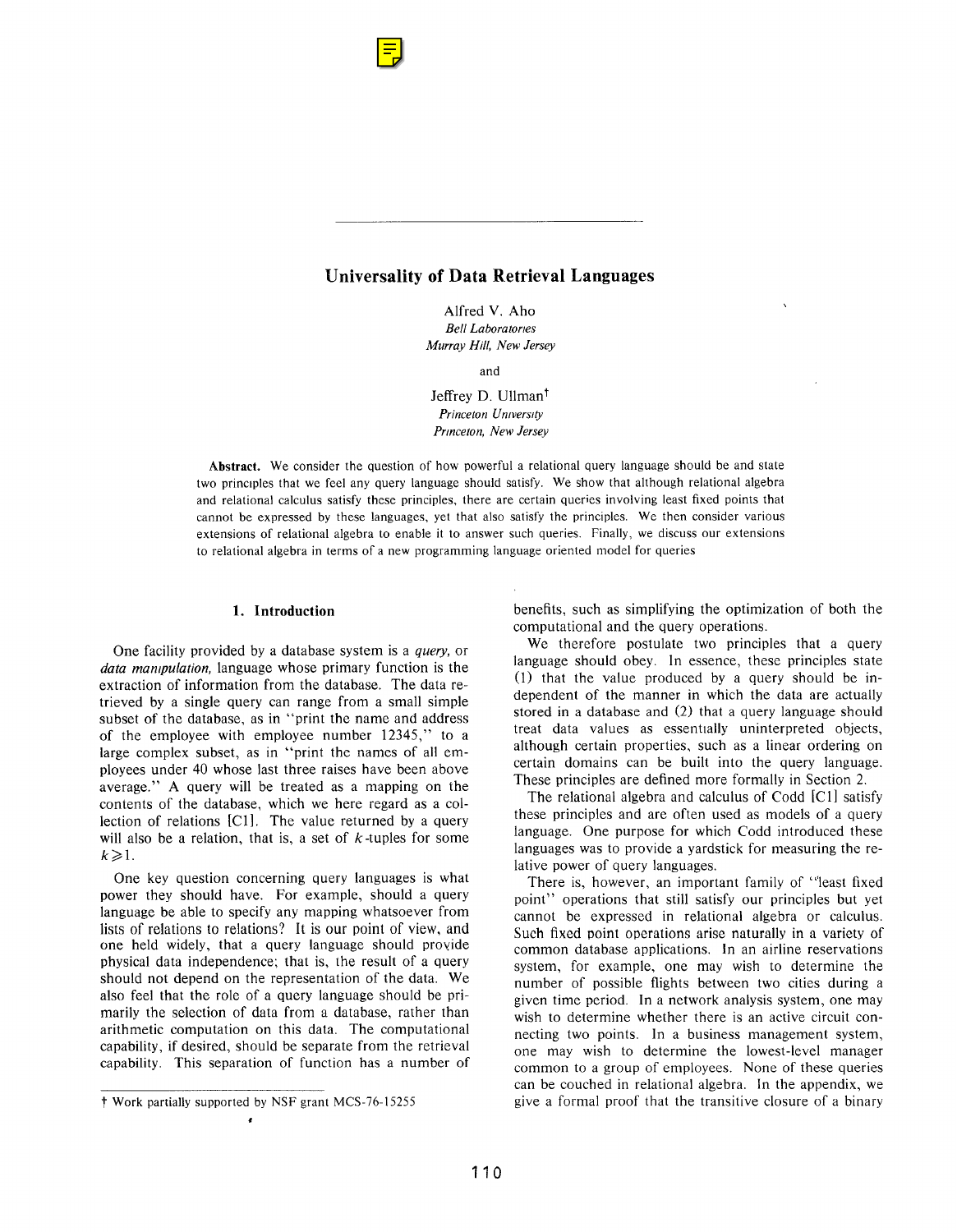## Universality of Data Retrieval Languages

Alfred V. Aho Bell Laboratories Murray Hill, New Jersey

and

Jeffrey D. Ullman<sup>t</sup> Princeton University Princeton, New Jersey

Abstract. We consider the question of how powerful a relational query language should be and state two principles that we feel any query language should satisfy. We show that although relational algebra and relational calculus satisfy these principles, there are certain queries involving least fixed points that cannot be expressed by these languages, yet that also satisfy the principles. We then consider various extensions of relational algebra to enable it to answer such queries. Finally, we discuss our extensions to relational algebra in terms of a new programming language oriented model for queries

#### 1. Introduction

One facility provided by a database system is a query, or data manipulation, language whose primary function is the extraction of information from the database. The data retrieved by a single query can range from a small simple subset of the database, as in "print the name and address of the employee with employee number 12345, " to a large complex subset, as in "print the names of all employees under 40 whose last three raises have been above average." A query will be treated as a mapping on the contents of the database, which we here regard as a collection of relations  $[Cl]$ . The value returned by a query will also be a relation, that is, a set of  $k$ -tuples for some  $k\geqslant 1$ .

One key question concerning query languages is what power they should have. For example, should a query language be able to specify any mapping whatsoever from lists of relations to relations? It is our point of view, and one held widely, that a query language should provide physical data independence; that is, the result of a query should not depend on the representation of the data. We also feel that the role of a query language should be primarily the selection of data from a database, rather than arithmetic computation on this data. The computational capability, if desired, should be separate from the retrieval capability. This separation of function has a number of

benefits, such as simplifying the optimization of both the computational and the query operations.

We therefore postulate two principles that a query language should obey. In essence, these principles state (1) that the value produced by a query should be independent of the manner in which the data are actually stored in a database and (2) that a query language should treat data values as essentially uninterpreted objects, although certain properties, such as a linear ordering on certain domains can be built into the query language. These principles are defined more formally in Section 2.

The relational algebra and calculus of Codd  $[C1]$  satisfy these principles and are often used as models of a query language. One purpose for which Codd introduced these languages was to provide a yardstick for measuring the relative power of query languages.

There is, however, an important family of "'least fixed point" operations that still satisfy our principles but yet cannot be expressed in relational algebra or calculus. Such fixed point operations arise naturally in a variety of common database applications. In an airline reservations system, for example, one may wish to determine the number of possible flights between two cities during a given time period. In a network analysis system, one may wish to determine whether there is an active circuit connecting two points. In a business management system, one may wish to determine the lowest-level manager common to a group of employees. None of these queries can be couched in relational algebra. In the appendix, we give a formal proof that the transitive closure of a binary

t Work partially supported by NSF grant MCS-76- 15255 e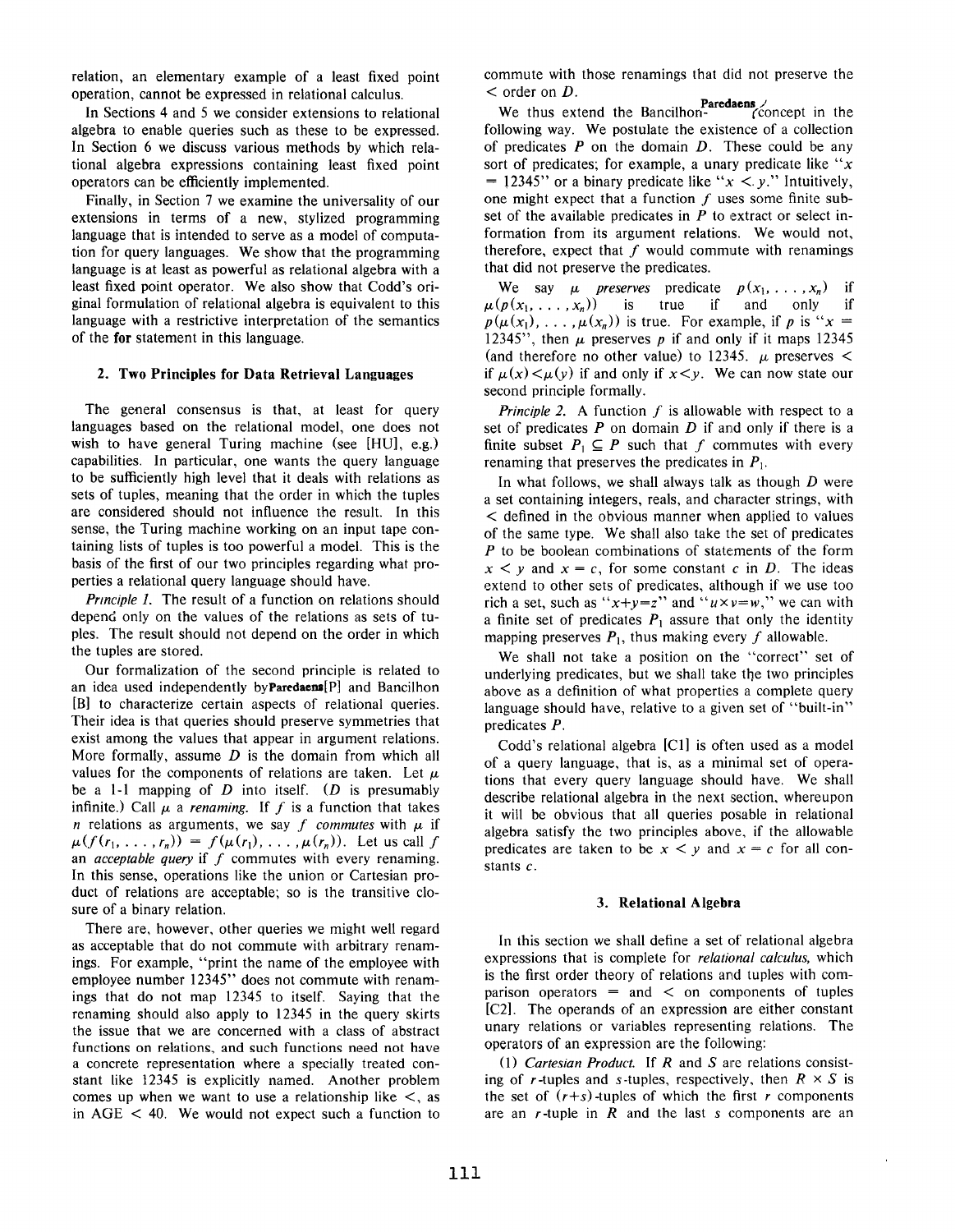relation, an elementary example of a least fixed point operation, cannot be expressed in relational calculus.

In Sections 4 and 5 we consider extensions to relational algebra to enable queries such as these to be expressed. In Section 6 we discuss various methods by which relational algebra expressions containing least fixed point operators can be efficiently implemented.

Finally, in Section 7 we examine the universality of our extensions in terms of a new, stylized programming language that is intended to serve as a model of computation for query languages. We show that the programming language is at least as powerful as relational algebra with a least fixed point operator. We also show that Codd's original formulation of relational algebra is equivalent to this language with a restrictive interpretation of the semantics of the for statement in this language.

#### 2. Two Principles for Data Retrieval Languages

The general consensus is that, at least for query languages based on the relational model, one does not wish to have general Turing machine (see [HU], e.g.) capabilities. In particular, one wants the query language to be sufficiently high level that it deals with relations as sets of tuples, meaning that the order in which the tuples are considered should not influence the result. In this sense, the Turing machine working on an input tape containing lists of tuples is too powerful a model. This is the basis of the first of our two principles regarding what properties a relational query language should have.

Principle 1. The result of a function on relations should depend only on the values of the relations as sets of tupies. The result should not depend on the order in which the tuples are stored.

Our formalization of the second principle is related to an idea used independently by Paredaens $[P]$  and Bancilhon [B] to characterize certain aspects of relational queries. Their idea is that queries should preserve symmetries that exist among the values that appear in argument relations. More formally, assume  $D$  is the domain from which all values for the components of relations are taken. Let  $\mu$ be a 1-1 mapping of  $D$  into itself. ( $D$  is presumably infinite.) Call  $\mu$  a *renaming*. If f is a function that takes n relations as arguments, we say f commutes with  $\mu$  if  $\mu(f(r_1, \ldots, r_n)) = f(\mu(r_1), \ldots, \mu(r_n))$ . Let us call f an *acceptable query* if  $f$  commutes with every renaming. In this sense, operations like the union or Cartesian product of relations are acceptable; so is the transitive closure of a binary relation.

There are, however, other queries we might well regard as acceptable that do not commute with arbitrary renamings. For example, "print the name of the employee with employee number 12345" does not commute with renamings that do not map 12345 to itself. Saying that the renaming should also apply to 12345 in the query skirts the issue that we are concerned with a class of abstract functions on relations, and such functions need not have a concrete representation where a specially treated constant like 12345 is explicitly named. Another problem comes up when we want to use a relationship like  $\lt$ , as in  $AGE$  < 40. We would not expect such a function to commute with those renamings that did not preserve the  $\leq$  order on  $D$ .

We thus extend the Bancilhon-<br> $\frac{\text{Paredaens}}{\text{concept}}$  in the following way. We postulate the existence of a collection of predicates  $P$  on the domain  $D$ . These could be any sort of predicates; for example, a unary predicate like " $x$ = 12345" or a binary predicate like " $x < y$ ." Intuitively, one might expect that a function  $f$  uses some finite subset of the available predicates in  $P$  to extract or select information from its argument relations. We would not, therefore, expect that  $f$  would commute with renamings that did not preserve the predicates.

We say  $\mu$  preserves predicate  $p(x_1, \ldots, x_n)$  if  $\mu(p(x_1, \ldots, x_n))$  is true if and only if  $p(\mu(x_1), \ldots, \mu(x_n))$  is true. For example, if p is " $x =$ 12345", then  $\mu$  preserves p if and only if it maps 12345 (and therefore no other value) to 12345.  $\mu$  preserves < if  $\mu(x) < \mu(y)$  if and only if  $x < y$ . We can now state our second principle formally.

*Principle 2.* A function  $f$  is allowable with respect to a set of predicates  $P$  on domain  $D$  if and only if there is a finite subset  $P_1 \subseteq P$  such that f commutes with every renaming that preserves the predicates in  $P_1$ .

In what follows, we shall always talk as though  $D$  were a set containing integers, reals, and character strings, with < defined in the obvious manner when applied to values of the same type. We shall also take the set of predicates  $P$  to be boolean combinations of statements of the form  $x \leq y$  and  $x = c$ , for some constant c in D. The ideas extend to other sets of predicates, although if we use too rich a set, such as " $x+y=z$ " and " $u \times v=w$ ," we can with a finite set of predicates  $P_1$  assure that only the identity mapping preserves  $P_1$ , thus making every f allowable.

We shall not take a position on the "correct" set of underlying predicates, but we shall take the two principles above as a definition of what properties a complete query language should have, relative to a given set of "built-in" predicates P.

Codd's relational algebra [Cl] is often used as a model of a query language, that is, as a minimal set of operations that every query language should have. We shall describe relational algebra in the next section, whereupon it will be obvious that all queries posable in relational algebra satisfy the two principles above, if the allowable predicates are taken to be  $x < y$  and  $x = c$  for all constants c.

#### 3. Relational Algebra

In this section we shall define a set of relational algebra expressions that is complete for relational calculus, which is the first order theory of relations and tuples with comparison operators  $=$  and  $<$  on components of tuples [C2]. The operands of an expression are either constant unary relations or variables representing relations. The operators of an expression are the following:

(1) Cartesian Product. If  $R$  and  $S$  are relations consisting of r-tuples and s-tuples, respectively, then  $R \times S$  is the set of  $(r+s)$ -tuples of which the first r components are an  $r$ -tuple in  $R$  and the last  $s$  components are an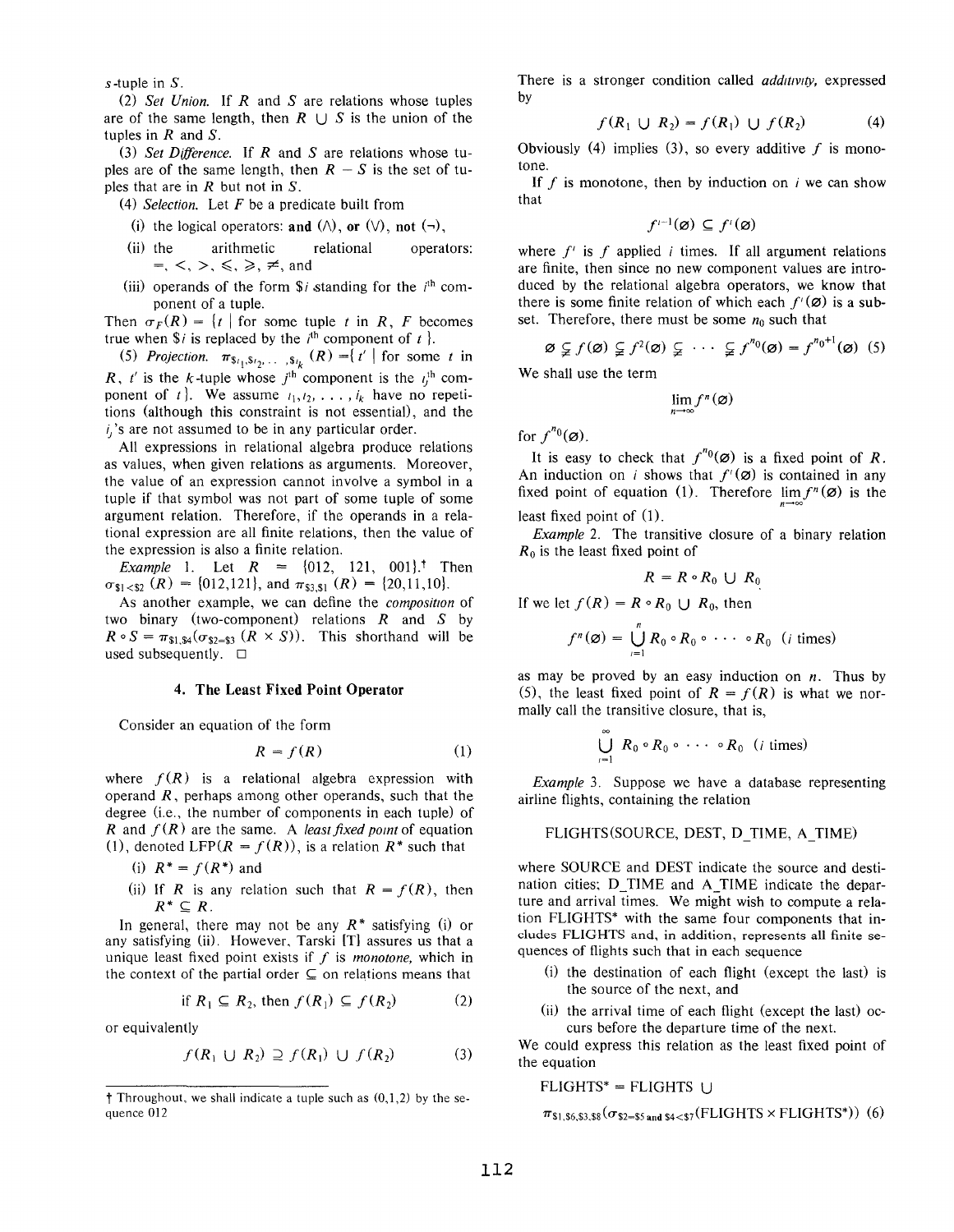s -tuple in S.

(2) Set Union. If  $R$  and  $S$  are relations whose tuples are of the same length, then  $R \cup S$  is the union of the tuples in  $R$  and  $S$ .

(3) Set Difference. If R and S are relations whose tuples are of the same length, then  $R - S$  is the set of tuples that are in  $R$  but not in  $S$ .

- (4) Selection. Let  $F$  be a predicate built from
	- (i) the logical operators: **and**  $(\wedge)$ , **or**  $(\vee)$ , **not**  $(\neg)$ ,
- (ii) the arithmetic relational operators:  $=, \le, >, \le, \ge, \ne,$  and
- (iii) operands of the form  $\hat{\mathbf{s}}$  istanding for the  $i^{\text{th}}$  component of a tuple.

Then  $\sigma_F (R) = \{t \mid \text{for some tuple } t \text{ in } R, F \text{ becomes } t \leq 1 \}$ true when  $\hat{\mathbf{s}}$  is replaced by the *i*<sup>th</sup> component of *t* }.

(5) Projection.  $\pi_{\$_{1},\$_{2},\dots,\$_{k}}(R) = \{ t' \mid \text{for some } t \text{ in } \}$ R, t' is the k-tuple whose  $j^{\text{th}}$  component is the  $j^{\text{th}}$  component of t). We assume  $i_1, i_2, \ldots, i_k$  have no repetitions (although this constraint is not essential), and the  $i$ ,'s are not assumed to be in any particular order.

All expressions in relational algebra produce relations as values, when given relations as arguments. Moreover, the value of an expression cannot involve a symbol in a tuple if that symbol was not part of some tuple of some argument relation. Therefore, if the operands in a relational expression are all finite relations, then the value of the expression is also a finite relation.

*Example* 1. Let  $R = \{012, 121, 001\}$ .<sup>†</sup> Then  $\sigma_{s_1 < s_2} (R) = \{012, 121\}$ , and  $\pi_{s_3, s_1} (R) = \{20, 11, 10\}$ .

As another example, we can define the composition of two binary (two-component) relations  $R$  and  $S$  by  $R \circ S = \pi_{S_1,S_4}(\sigma_{S_2=S_3} (R \times S))$ . This shorthand will be used subsequently. ❑

#### 4. The Least Fixed Point Operator

Consider an equation of the form

$$
R = f(R) \tag{1}
$$

where  $f(R)$  is a relational algebra expression with operand  $R$ , perhaps among other operands, such that the degree (i.e., the number of components in each tuple) of R and  $f(R)$  are the same. A least fixed point of equation (1), denoted LFP( $R = f(R)$ ), is a relation  $R^*$  such that

- (i)  $R^* = f(R^*)$  and
- (ii) If R is any relation such that  $R = f(R)$ , then  $R^* \subseteq R$ .

In general, there may not be any  $R^*$  satisfying (i) or any satisfying (ii). However, Tarski [T] assures us that a unique least fixed point exists if  $f$  is *monotone*, which in the context of the partial order  $\subseteq$  on relations means that

if 
$$
R_1 \subseteq R_2
$$
, then  $f(R_1) \subseteq f(R_2)$  (2)

or equivalently

$$
f(R_1 \cup R_2) \supseteq f(R_1) \cup f(R_2) \tag{3}
$$

There is a stronger condition called *additivity*, expressed by

$$
f(R_1 \cup R_2) = f(R_1) \cup f(R_2)
$$
 (4)

Obviously (4) implies (3), so every additive  $f$  is monotone.

If  $f$  is monotone, then by induction on  $i$  we can show that

$$
f^{r-1}(\varnothing) \subseteq f^r(\varnothing)
$$

where  $f'$  is  $f$  applied i times. If all argument relations are finite, then since no new component values are introduced by the relational algebra operators, we know that there is some finite relation of which each  $f'(\emptyset)$  is a subset. Therefore, there must be some  $n_0$  such that

$$
\varnothing \subsetneq f(\varnothing) \subsetneq f^2(\varnothing) \subsetneq \cdots \subsetneq f^{n_0}(\varnothing) = f^{n_0+1}(\varnothing) \quad (5)
$$

We shall use the term

$$
\lim_{n\to\infty}f^n(\varnothing)
$$

for  $f^{n_0}(\emptyset)$ .

It is easy to check that  $f^{n_0}(\emptyset)$  is a fixed point of R. An induction on *i* shows that  $f'(\emptyset)$  is contained in any fixed point of equation (1). Therefore  $\lim_{n\to\infty} f^{n}(\emptyset)$  is the least fixed point of (l).

Example 2. The transitive closure of a binary relation  $R_0$  is the least fixed point of

$$
R = R \circ R_0 \cup R_0
$$

If we let  $f(R) = R \circ R_0 \cup R_0$ , then

$$
f^{n}(\varnothing) = \bigcup_{i=1}^{n} R_{0} \circ R_{0} \circ \cdots \circ R_{0} \ \ (i \text{ times})
$$

as may be proved by an easy induction on  $n$ . Thus by (5), the least fixed point of  $R = f(R)$  is what we normally call the transitive closure, that is,

$$
\bigcup_{i=1}^{\infty} R_0 \circ R_0 \circ \cdots \circ R_0 \ \ (i \ \text{times})
$$

Example 3. Suppose we have a database representing airline flights, containing the relation

## FLIGHTS(SOURCE, DEST, D\_TIME, A\_TIME)

where SOURCE and DEST indicate the source and destination cities; D\_TIME and A\_TIME indicate the departure and arrival times. We might wish to compute a relation FLIGHTS\* with the same four components that includes FLIGHTS and, in addition, represents all finite sequences of flights such that in each sequence

- (i) the destination of each flight (except the last) is the source of the next, and
- (ii) the arrival time of each flight (except the last) occurs before the departure time of the next.

We could express this relation as the least fixed point of the equation

 $FLIGHTS* = FLIGHTS \cup$ 

$$
\pi_{\$1,\$6,\$3,\$8}(\sigma_{\$2=\$5 \text{ and } \$4<\$7}(\text{FLIGHTS} \times \text{FLIGHTS}^*))
$$
 (6)

 $\dagger$  Throughout, we shall indicate a tuple such as  $(0,1,2)$  by the sequence 012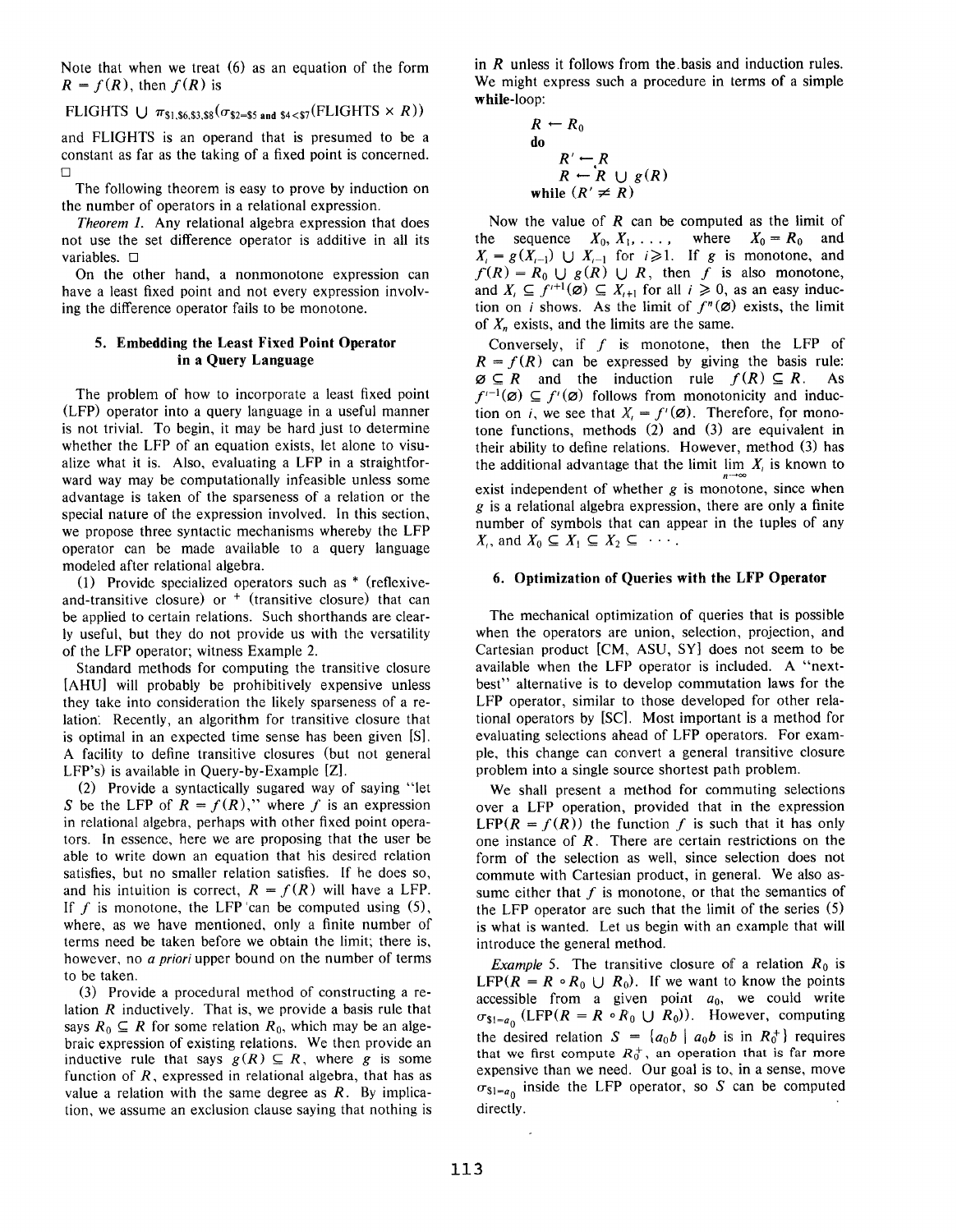Note that when we treat (6) as an equation of the form  $R = f(R)$ , then  $f(R)$  is

## FLIGHTS  $\bigcup \pi_{S1,S6,S3,S8}(\sigma_{S2=S5 \text{ and } S4$

and FLIGHTS is an operand that is presumed to be a constant as far as the taking of a fixed point is concerned.  $\Box$ 

The following theorem is easy to prove by induction on the number of operators in a relational expression.

Theorem 1. Any relational algebra expression that does not use the set difference operator is additive in all its variables. ❑

On the other hand, a nonmonotone expression can have a least fixed point and not every expression involving the difference operator fails to be monotone.

## 5. Embedding the Least Fixed Point Operator in a Query Language

The problem of how to incorporate a least fixed point (LFP) operator into a query language in a useful manner is not trivial. To begin, it may be hard just to determine whether the LFP of an equation exists, let alone to visualize what it is. Also, evaluating a LFP in a straightforward way may be computationally infeasible unless some advantage is taken of the sparseness of a relation or the special nature of the expression involved. In this section, we propose three syntactic mechanisms whereby the LFP operator can be made available to a query language modeled after relational algebra.

(1) Provide specialized operators such as \* (reflexiveand-transitive closure) or  $+$  (transitive closure) that can be applied to certain relations. Such shorthands are clearly useful, but they do not provide us with the versatility of the LFP operator; witness Example 2.

Standard methods for computing the transitive closure [AHUI will probably be prohibitively expensive unless they take into consideration the likely sparseness of a relation: Recently, an algorithm for transitive closure that is optimal in an expected time sense has been given [S1. A facility to define transitive closures (but not general LFP's) is available in Query-by-Example [Z].

(2) Provide a syntactically sugared way of saying "let S be the LFP of  $R = f(R)$ ," where f is an expression in relational algebra, perhaps with other fixed point operators. In essence, here we are proposing that the user be able to write down an equation that his desired relation satisfies, but no smaller relation satisfies. If he does so, and his intuition is correct,  $R = f(R)$  will have a LFP. If f is monotone, the LFP 'can be computed using  $(5)$ , where, as we have mentioned, only a finite number of terms need be taken before we obtain the limit; there is, however, no *a priori* upper bound on the number of terms to be taken.

(3) Provide a procedural method of constructing a relation  $R$  inductively. That is, we provide a basis rule that says  $R_0 \subseteq R$  for some relation  $R_0$ , which may be an algebraic expression of existing relations. We then provide an inductive rule that says  $g(R) \subseteq R$ , where g is some function of  $R$ , expressed in relational algebra, that has as value a relation with the same degree as  $R$ . By implication, we assume an exclusion clause saying that nothing is in  *unless it follows from the basis and induction rules.* We might express such a procedure in terms of a simple while-loop:

$$
R \leftarrow R_0
$$
  
do  

$$
R' \leftarrow R
$$
  

$$
R \leftarrow R \cup g(R)
$$
  
while 
$$
(R' \neq R)
$$

Now the value of  $R$  can be computed as the limit of the sequence  $X_0, X_1, \ldots$ , where  $X_0 = R_0$  and  $X_i = g(X_{i-1}) \cup X_{i-1}$  for  $i \ge 1$ . If g is monotone, and  $f(R) = R_0 \cup g(R) \cup R$ , then f is also monotone, and  $X_i \subseteq f^{i+1}(\emptyset) \subseteq X_{i+1}$  for all  $i \geq 0$ , as an easy induction on *i* shows. As the limit of  $f<sup>n</sup>(\emptyset)$  exists, the limit of  $X_n$  exists, and the limits are the same.

Conversely, if f is monotone, then the LFP of  $R = f(R)$  can be expressed by giving the basis rule:  $\emptyset \subseteq R$  and the induction rule  $f(R) \subseteq R$ . As  $f^{-1}(\emptyset) \subseteq f'(\emptyset)$  follows from monotonicity and induction on *i*, we see that  $X_i = f'(\mathcal{Q})$ . Therefore, for monotone functions, methods  $(2)$  and  $(3)$  are equivalent in their ability to define relations. However, method (3) has the additional advantage that the limit  $\lim_{n\to\infty} X_i$  is known to exist independent of whether  $g$  is monotone, since when g is a relational algebra expression, there are only a finite number of symbols that can appear in the tuples of any

## 6. Optimization of Queries with the LFP Operator

 $X_i$ , and  $X_0 \subseteq X_1 \subseteq X_2 \subseteq \cdots$ .

The mechanical optimization of queries that is possible when the operators are union, selection, projection, and Cartesian product [CM., ASU, SYI does not seem to be available when the LFP operator is included. A "nextbest" alternative is to develop commutation laws for the LFP operator, similar to those developed for other relational operators by [SC]. Most important is a method for evaluating selections ahead of LFP operators. For example, this change can convert a general transitive closure problem into a single source shortest path problem.

We shall present a method for commuting selections over a LFP operation, provided that in the expression LFP( $R = f(R)$ ) the function f is such that it has only one instance of  $R$ . There are certain restrictions on the form of the selection as well, since selection does not commute with Cartesian product, in general. We also assume either that  $f$  is monotone, or that the semantics of the LFP operator are such that the limit of the series (5) is what is wanted. Let us begin with an example that will introduce the general method.

*Example* 5. The transitive closure of a relation  $R_0$  is LFP( $R = R \circ R_0 \cup R_0$ ). If we want to know the points accessible from a given point  $a_0$ , we could write  $\sigma_{\$1=a_0}$  (LFP( $R = R \circ R_0 \cup R_0$ )). However, computing the desired relation  $S = \{a_0b \mid a_0b \text{ is in } R_0^+\}$  requires that we first compute  $R_0^+$ , an operation that is far more expensive than we need. Our goal is to., in a sense, move  $\sigma_{s1=a_0}$  inside the LFP operator, so S can be computed directly.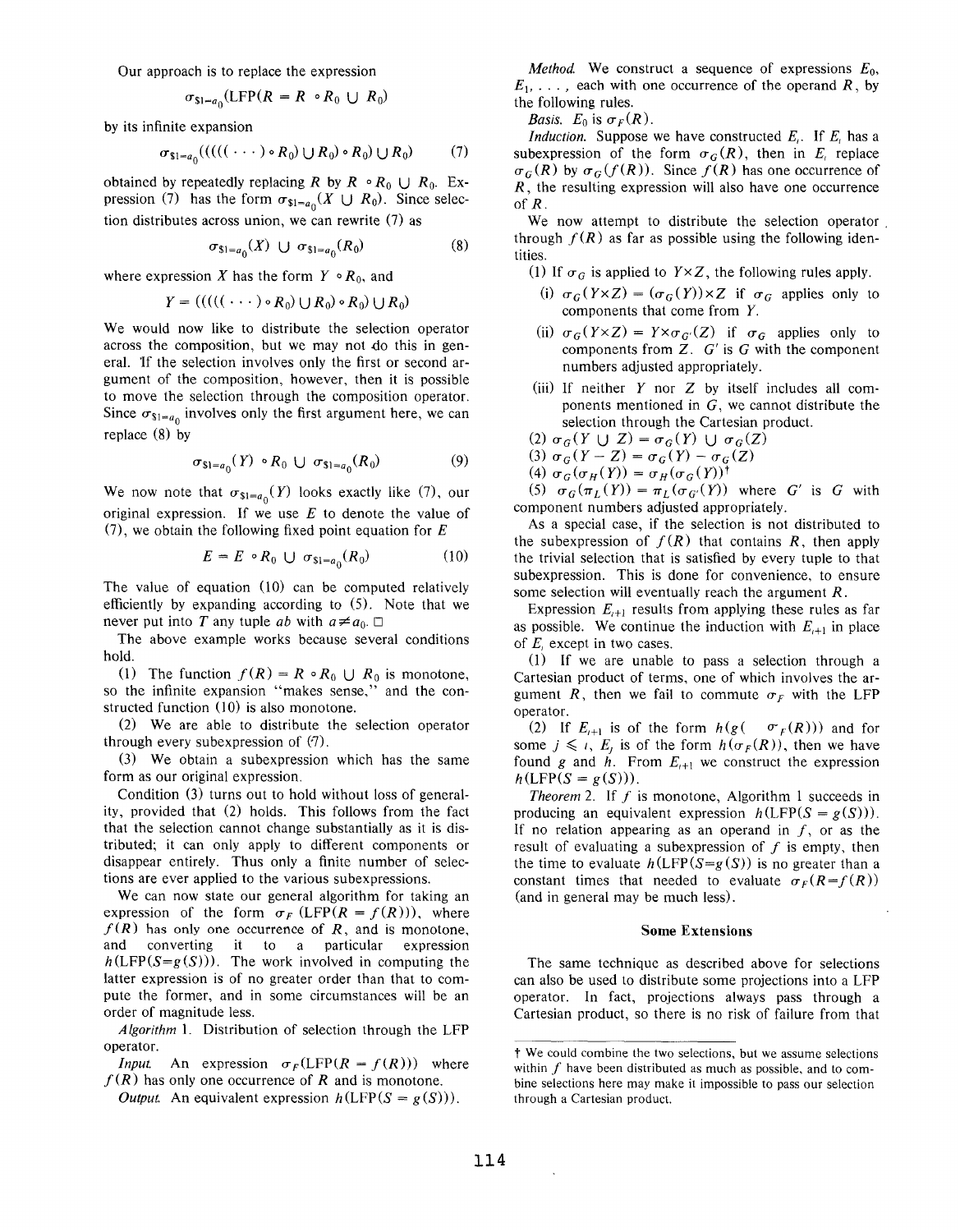Our approach is to replace the expression

$$
\sigma_{\text{S1}=a_0}(\text{LFP}(R=R \circ R_0 \cup R_0)
$$

by its infinite expansion

$$
\sigma_{\$1=a_0}(((((\cdots)\circ R_0)\cup R_0)\circ R_0)\cup R_0) \qquad (7)
$$

obtained by repeatedly replacing R by  $R \circ R_0 \cup R_0$ . Expression (7) has the form  $\sigma_{s_1=a_0}(X \cup R_0)$ . Since selection distributes across union, we can rewrite (7) as

$$
\sigma_{\mathbb{S}1=a_0}(X) \cup \sigma_{\mathbb{S}1=a_0}(R_0) \tag{8}
$$

where expression X has the form  $Y \circ R_0$ , and

$$
Y = (((((\cdots) \circ R_0) \cup R_0) \circ R_0) \cup R_0)
$$

We would now like to distribute the selection operator across the composition, but we may not do this in general. If the selection involves only the first or second argument of the composition, however, then it is possible to move the selection through the composition operator. Since  $\sigma_{\frac{s}{-a_0}}$  involves only the first argument here, we can replace (8) by

$$
\sigma_{\mathsf{S1}=a_0}(Y) \circ R_0 \cup \sigma_{\mathsf{S1}=a_0}(R_0) \tag{9}
$$

We now note that  $\sigma_{s_1=a_0}(Y)$  looks exactly like (7), our original expression. If we use  $E$  to denote the value of  $(7)$ , we obtain the following fixed point equation for E

$$
E = E \circ R_0 \cup \sigma_{\text{S1}=a_0}(R_0) \tag{10}
$$

The value of equation (10) can be computed relatively efficiently by expanding according to (5). Note that we never put into T any tuple ab with  $a \neq a_0$ .  $\square$ 

The above example works because several conditions hold.

(1) The function  $f(R) = R \circ R_0 \cup R_0$  is monotone, so the infinite expansion "makes sense," and the constructed function (1O) is also monotone.

(2) We are able to distribute the selection operator through every subexpression of  $(7)$ .

(3) We obtain a subexpression which has the same form as our original expression.

Condition (3) turns out to hold without loss of generality, provided that (2) holds. This follows from the fact that the selection cannot change substantially as it is distributed; it can only apply to different components or disappear entirely. Thus only a finite number of selections are ever applied to the various subexpressions.

We can now state our general algorithm for taking an expression of the form  $\sigma_F$  (LFP( $R = f(R)$ )), where  $f(R)$  has only one occurrence of R, and is monotone, and converting it to a particular expression  $h(\text{LFP}(S=g(S)))$ . The work involved in computing the latter expression is of no greater order than that to compute the former, and in some circumstances will be an order of magnitude less.

Algorithm 1. Distribution of selection through the LFP operator.

*Input.* An expression  $\sigma_F(\text{LFP}(R = f(R)))$  where  $f(R)$  has only one occurrence of R and is monoton

*Output.* An equivalent expression  $h(LFP(S = g(S)))$ 

*Method*. We construct a sequence of expressions  $E_0$ ,  $E_1, \ldots$ , each with one occurrence of the operand R, by the following rules.

*Basis.*  $E_0$  is  $\sigma_F(R)$ .

*Induction.* Suppose we have constructed  $E_i$ . If  $E_i$  has a subexpression of the form  $\sigma_G(R)$ , then in E<sub>i</sub> replace  $\sigma_G(R)$  by  $\sigma_G(f(R))$ . Since  $f(R)$  has one occurrence of R, the resulting expression will also have one occurrence of  $R$ .

We now attempt to distribute the selection operator through  $f(R)$  as far as possible using the following identities.

- (1) If  $\sigma_G$  is applied to  $Y \times Z$ , the following rules apply.
- (i)  $\sigma_G(Y \times Z) = (\sigma_G(Y)) \times Z$  if  $\sigma_G$  applies only to components that come from Y.
- (ii)  $\sigma_G(Y \times Z) = Y \times \sigma_{G'}(Z)$  if  $\sigma_G$  applies only to components from  $Z$ .  $G'$  is  $G$  with the component numbers adjusted appropriately.
- (iii) If neither  $Y$  nor  $Z$  by itself includes all components mentioned in  $G$ , we cannot distribute the selection through the Cartesian product.
- (2)  $\sigma_G(Y \cup Z) = \sigma_G(Y) \cup \sigma_G(Z)$
- (3)  $\sigma_G(Y-Z)=\sigma_G(Y)-\sigma_G(Z)$
- (4)  $\sigma_G(\sigma_H(Y)) = \sigma_H(\sigma_G(Y))$ <sup>†</sup>

(5)  $\sigma_G(\pi_L(Y)) = \pi_L(\sigma_{G'}(Y))$  where G' is G with component numbers adjusted appropriately.

As a special case, if the selection is not distributed to the subexpression of  $f(R)$  that contains R, then apply the trivial selection that is satisfied by every tuple to that subexpression. This is done for convenience, to ensure some selection will eventually reach the argument R.

Expression  $E_{i+1}$  results from applying these rules as far as possible. We continue the induction with  $E_{i+1}$  in place of E, except in two cases.

(1) If we are unable to pass a selection through a Cartesian product of terms, one of which involves the argument R, then we fail to commute  $\sigma_F$  with the LFP operator.

(2) If  $E_{i+1}$  is of the form  $h(g(-\sigma_F(R)))$  and for some  $j \leq l$ ,  $E_j$  is of the form  $h(\sigma_F(R))$ , then we have found g and h. From  $E_{i+1}$  we construct the expression  $h(\text{LFP}(S = g(S))).$ 

Theorem 2. If  $f$  is monotone, Algorithm 1 succeeds in producing an equivalent expression  $h(LFP(S = g(S))).$ If no relation appearing as an operand in  $f$ , or as the result of evaluating a subexpression of  $f$  is empty, then the time to evaluate  $h(LFP(S=g(S))$  is no greater than a constant times that needed to evaluate  $\sigma_F(R = f(R))$ (and in general may be much less).

#### Some Extensions

The same technique as described above for selections can also be used to distribute some projections into a LFP operator. In fact, projections always pass through a Cartesian product, so there is no risk of failure from that

t We could combine the two selections, but we assume selections within  $f$  have been distributed as much as possible, and to combine selections here may make it impossible to pass our selection through a Cartesian product.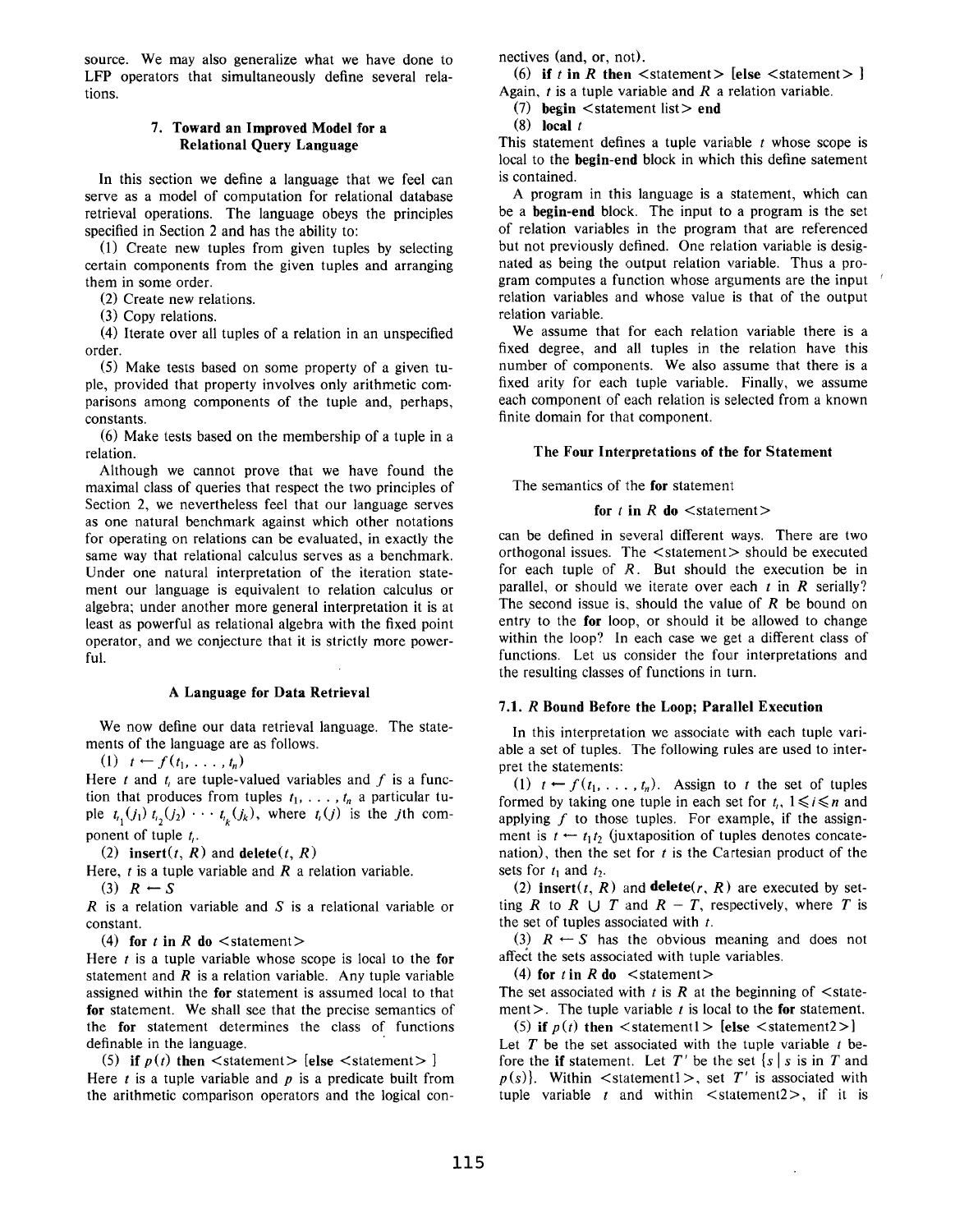source. We may also generalize what we have done to LFP operators that simultaneously define several relations.

## 7. Toward an Improved Model fora Relational Query Language

In this section we define a language that we feel can serve as a model of computation for relational database retrieval operations. The language obeys the principles specified in Section 2 and has the ability to:

(1) Create new tuples from given tuples by selecting certain components from the given tuples and arranging them in some order.

(2) Create new relations.

(3) Copy relations.

(4) Iterate over all tuples of a relation in an unspecified order.

(5) Make tests based on some property of a given tuple, provided that property involves only arithmetic comparisons among components of the tuple and, perhaps, constants.

 $(6)$  Make tests based on the membership of a tuple in a relation.

Although we cannot prove that we have found the maximal class of queries that respect the two principles of Section 2, we nevertheless feel that our language serves as one natural benchmark against which other notations for operating on relations can be evaluated, in exactly the same way that relational calculus serves as a benchmark. Under one natural interpretation of the iteration statement our language is equivalent to relation calculus or algebra; under another more general interpretation it is at least as powerful as relational algebra with the fixed point operator, and we conjecture that it is strictly more powerful.

## A Language for Data Retrieval

We now define our data retrieval language, The statements of the language are as follows.

(1)  $t \leftarrow f(t_1, \ldots, t_n)$ 

Here t and  $t_i$  are tuple-valued variables and f is a function that produces from tuples  $t_1, \ldots, t_n$  a particular tuple  $t_1(j_1)$   $t_2(j_2)$   $\cdots$   $t_k(j_k)$ , where  $t_i(j)$  is the jth component of tuple  $t_i$ .

(2) insert(t, R) and delete(t, R)

Here,  $t$  is a tuple variable and  $R$  a relation variable.

(3)  $R \leftarrow S$ 

 $R$  is a relation variable and  $S$  is a relational variable or constant.

(4) for t in R do  $\lt$  statement  $>$ 

Here  $t$  is a tuple variable whose scope is local to the for statement and  $R$  is a relation variable. Any tuple variable assigned within the for statement is assumed local to that for statement. We shall see that the precise semantics of the for statement determines the class of functions definable in the language.

(5) if  $p(t)$  then  $\leq$  statement  $>$  [else  $\leq$  statement  $>$  ] Here  $t$  is a tuple variable and  $p$  is a predicate built from the arithmetic comparison operators and the logical connectives (and, or, not).

(6) if t in R then  $\leq$  statement  $>$  [else  $\leq$  statement  $>$  ] Again, t is a tuple variable and  $R$  a relation variable.

(7) begin  $\leq$  statement list  $>$  end

(8) local  $t$ 

This statement defines a tuple variable  $t$  whose scope is local to the begin-end block in which this define satement is contained.

A program in this language is a statement, which can be a begin-end block. The input to a program is the set of relation variables in the program that are referenced but not previously defined. One relation variable is designated as being the output relation variable. Thus a program computes a function whose arguments are the input ' relation variables and whose value is that of the output relation variable.

We assume that for each relation variable there is a fixed degree, and all tuples in the relation have this number of components. We also assume that there is a fixed arity for each tuple variable. Finally, we assume each component of each relation is selected from a known finite domain for that component.

## The Four Interpretations of the for Statement

The semantics of the for statement

## for t in R do  $\leq$  statement  $>$

can be defined in several different ways. There are two orthogonal issues. The <statement> should be executed for each tuple of  $R$ . But should the execution be in parallel, or should we iterate over each  $t$  in  $\vec{R}$  serially? The second issue is, should the value of  $R$  be bound on entry to the for loop, or should it be allowed to change within the loop? In each case we get a different class of functions. Let us consider the four interpretations and the resulting classes of functions in turn.

#### 7.1. R Bound Before the Loop; Parallel Execution

In this interpretation we associate with each tuple variable a set of tuples. The following rules are used to interpret the statements:

(1)  $t-f(t_1,\ldots,t_n)$ . Assign to t the set of tuples formed by taking one tuple in each set for  $t_i$ ,  $1 \le i \le n$  and applying  $f$  to those tuples. For example, if the assignment is  $t \leftarrow t_1 t_2$  (juxtaposition of tuples denotes concatenation), then the set for  $t$  is the Cartesian product of the sets for  $t_1$  and  $t_2$ .

(2) insert(t, R) and delete(r, R) are executed by setting R to R  $\cup$  T and R – T, respectively, where T is the set of tuples associated with  $t$ .

(3)  $R \leftarrow S$  has the obvious meaning and does not affect the sets associated with tuple variables.

(4) for t in R do  $\leq$  statement >

The set associated with  $t$  is  $R$  at the beginning of  $\leq$  statement >. The tuple variable  $t$  is local to the for statement.

(5) if  $p(t)$  then  $\leq$ statement  $| \cdot |$  [else  $\leq$ statement 2>] Let  $T$  be the set associated with the tuple variable  $t$  before the if statement. Let T' be the set  $\{s \mid s \text{ is in } T \text{ and }$  $p(s)$ . Within <statement 1>, set T' is associated with tuple variable  $t$  and within  $\leq$  statement  $2$ , if it is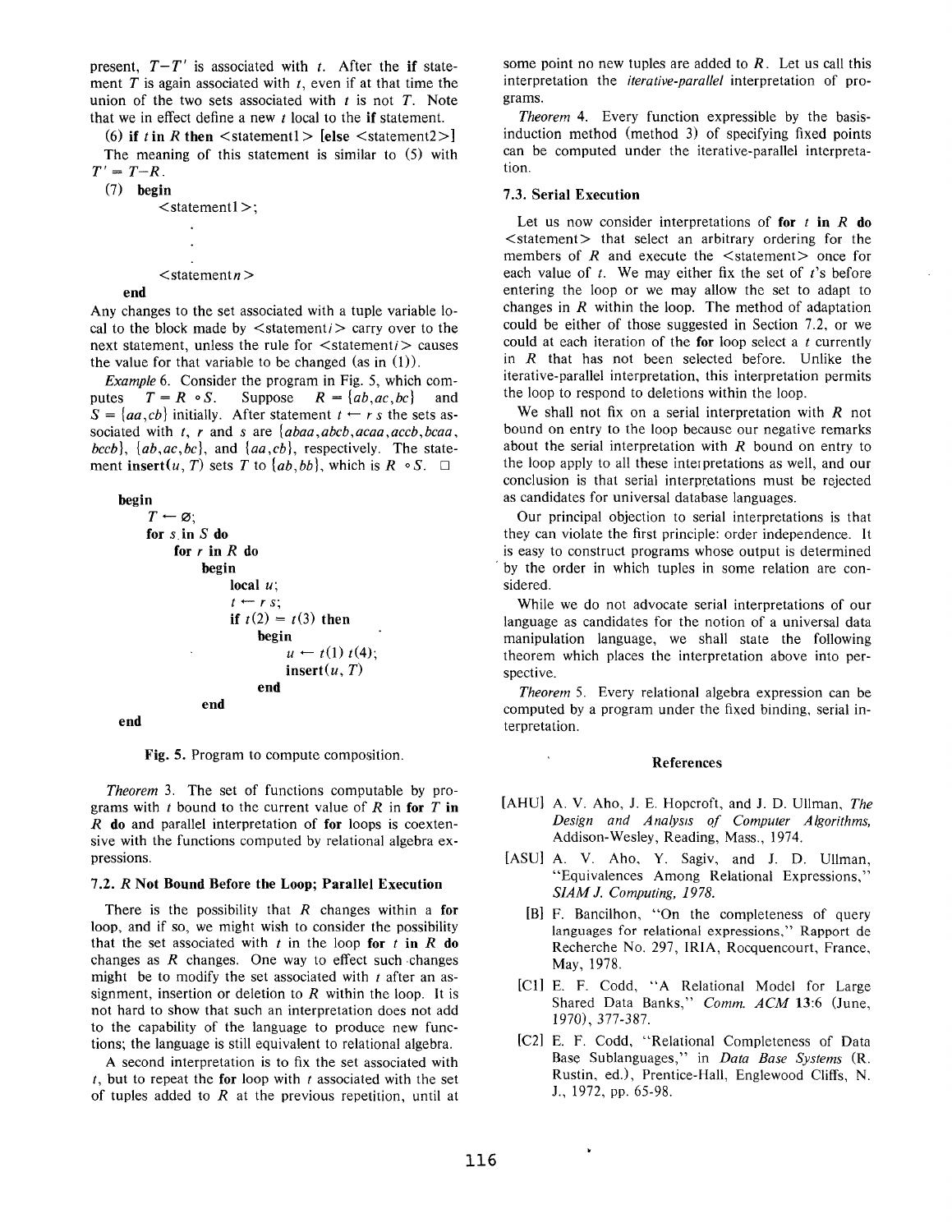present,  $T-T'$  is associated with t. After the if statement  $T$  is again associated with  $t$ , even if at that time the union of the two sets associated with  $t$  is not  $T$ . Note that we in effect define a new  $t$  local to the if statement.

(6) if t in R then  $\leq$  statement  $\geq$  [else  $\leq$  statement  $2>1$ ] The meaning of this statement is similar to (5) with  $T' = T - R$ .

(7) begin

 $<$ statement $1$ >;

```
<statement n>
```
end

Any changes to the set associated with a tuple variable local to the block made by  $\leq$  statement  $i$   $>$  carry over to the next statement, unless the rule for  $\leq$  statement *i*  $>$  causes the value for that variable to be changed (as in  $(1)$ ).

Example 6. Consider the program in Fig. 5, which computes  $T = R \circ S$ . Suppose  $R = \{ab, ac, bc\}$  and  $S = \{aa, cb\}$  initially. After statement  $t \leftarrow r$  s the sets associated with t, r and s are  $\{abaa, abcb, acaa, accb, bcaa,$ bccb,  $\{ab, ac, bc\}$ , and  $\{aa, cb\}$ , respectively. The statement insert  $(u, T)$  sets T to  $(ab, bb)$ , which is  $R \circ S$ .  $\Box$ 

begin\n
$$
T \leftarrow \emptyset;
$$
\nfor  $s$  in  $S$  do\n for  $r$  in  $R$  do\n begin\n local  $u$ ;\n  $t \leftarrow r s$ ;\n if  $t(2) = t(3)$  then\n begin\n  $u \leftarrow t(1) t(4)$ ;\n insert $(u, T)$ \n end\nend\n\nend

Fig. 5. Program to compute composition.

Theorem 3. The set of functions computable by programs with  $t$  bound to the current value of  $R$  in for  $T$  in R do and parallel interpretation of for loops is coextensive with the functions computed by relational algebra expressions.

#### 7.2. R Not Bound Before the Loop; Parallel Execution

There is the possibility that  $R$  changes within a for loop, and if so, we might wish to consider the possibility that the set associated with  $t$  in the loop for  $t$  in  $R$  do changes as  $R$  changes. One way to effect such changes might be to modify the set associated with  $t$  after an assignment, insertion or deletion to  $R$  within the loop. It is not hard to show that such an interpretation does not add to the capability of the language to produce new functions; the language is still equivalent to relational algebra.

A second interpretation is to fix the set associated with  $t$ , but to repeat the for loop with t associated with the set of tuples added to  $R$  at the previous repetition, until at some point no new tuples are added to  $R$ . Let us call this interpretation the iterative-parallel interpretation of programs.

Theorem 4. Every function expressible by the basisinduction method (method 3) of specifying fixed points can be computed under the iterative-parallel interpretation.

## 7.3. Serial Execution

Let us now consider interpretations of for  $t$  in  $R$  do  $\leq$ statement $>$  that select an arbitrary ordering for the members of  $R$  and execute the  $\leq$  statement $>$  once for each value of  $t$ . We may either fix the set of  $t$ 's before entering the loop or we may allow the set to adapt to changes in  $R$  within the loop. The method of adaptation could be either of those suggested in Section 7.2, or we could at each iteration of the **for** loop select a  $t$  currently in  $R$  that has not been selected before. Unlike the iterative-parallel interpretation, this interpretation permits the loop to respond to deletions within the loop.

We shall not fix on a serial interpretation with  $R$  not bound on entry to the loop because our negative remarks about the serial interpretation with  $R$  bound on entry to the loop apply to all these interpretations as well, and our conclusion is that serial interpretations must be rejected as candidates for universal database languages.

Our principal objection to serial interpretations is that they can violate the first principle: order independence. It is easy to construct programs whose output is determined by the order in which tuples in some relation are considered.

While we do not advocate serial interpretations of our language as candidates for the notion of a universal data manipulation language, we shall state the following theorem which places the interpretation above into perspective.

Theorem 5. Every relational algebra expression can be computed by a program under the fixed binding, serial interpretation.

# Reference

- [AHU] A. V. Aho, J. E. Hopcroft, and J. D. Ullman, The Design and Analysis of Computer Algorithms, Addison-Wesley, Reading, Mass., 1974.
- [ASU] A. V. Aho, Y. Sagiv, and J. D. Ullmar "Equivalences Among Relational Expressions, " SIAM J. Computing, 1978.
	- [B] F. Bancilhon, "On the completeness of query languages for relational expressions," Rapport de Recherche No. 297, IRIA, Rocquencourt, France, May, 1978.
	- [cl] E. F. Codd, "A Relational Model for Large Shared Data Banks," Comm. ACM 13:6 (June, 1970), 377-387.
	- [C21 E. F. Codd, "Relational Completeness of Data Base Sublanguages," in Data Base Systems (R. Rustin, cd.), Prentice-Hall, Englewood Cliffs, N. J., 1972, pp. 65-98.

,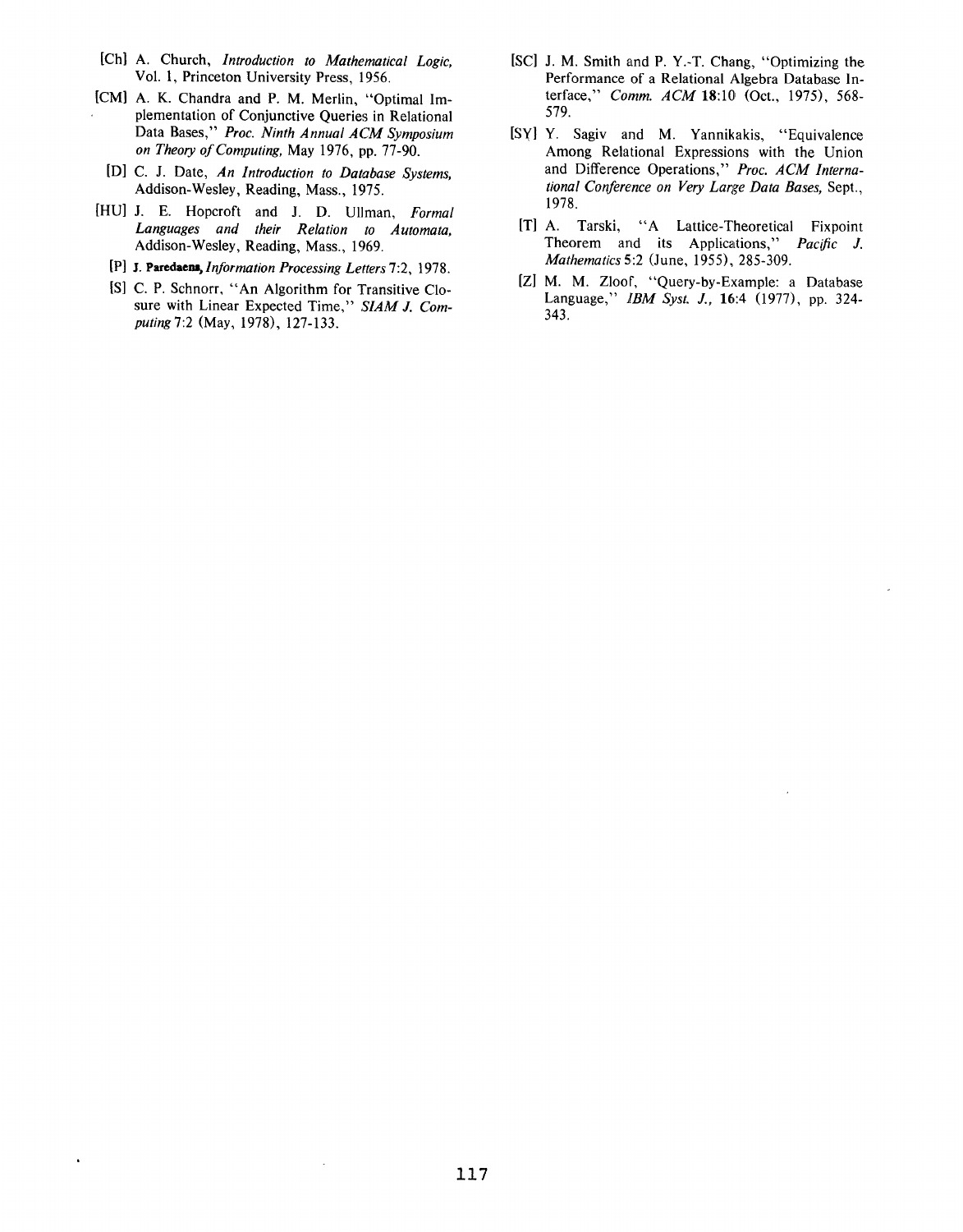- [Ch] A. Church, Introduction to Mathematical Logic, Vol. 1, Princeton University Press, 1956.
- [CM] A. K. Chandra and P. M. Merlin, "Optimal implementation of Conjunctive Queries in Relational Data Bases," Proc. Ninth Annual ACM Symposium on Theory of Computing, May 1976, pp. 77-90.
- [D] C. J. Date, An Introduction to Database Systems, Addison-Wesley, Reading, Mass., 1975.
- [HU] J. E. Hopcroft and J. D. Ullman, Formal Languages and their Relation to Automata, Addison-Wesley, Reading, Mass., 1969.
	- [P] J. Paredaens, Information Processing Letters 7:2, 1978.
	- [S1 C. P. Schnorr, "An Algorithm for Transitive Closure with Linear Expected Time," SIAM J. Computing 7:2 (May, 1978), 127-133.

 $\ddot{\phantom{a}}$ 

- [SC] J. M. Smith and P. Y.-T. Chang, "Optimizing the Performance of a Relational Algebra Database interface," Comm. ACM 18:10 (Oct., 1975), 568-579.
- [Syl Y. Sagiv and M. Yannikakis, "Equivalence Among Relational Expressions with the Union and Difference Operations," Proc. ACM International Conference on Very Large Data Bases, Sept., 1978.
- [T] A. Tarski, "A Lattice-Theoretical Fixpoint Theorem and its Applications," Pacific J. Mathematics 5:2 (June, 1955), 285-309.
- [Z] M. M. Zloof, "Query-by-Example: a Database Language," IBM Syst. J., 16:4 (1977), pp. 324-343.

 $\bar{\phantom{a}}$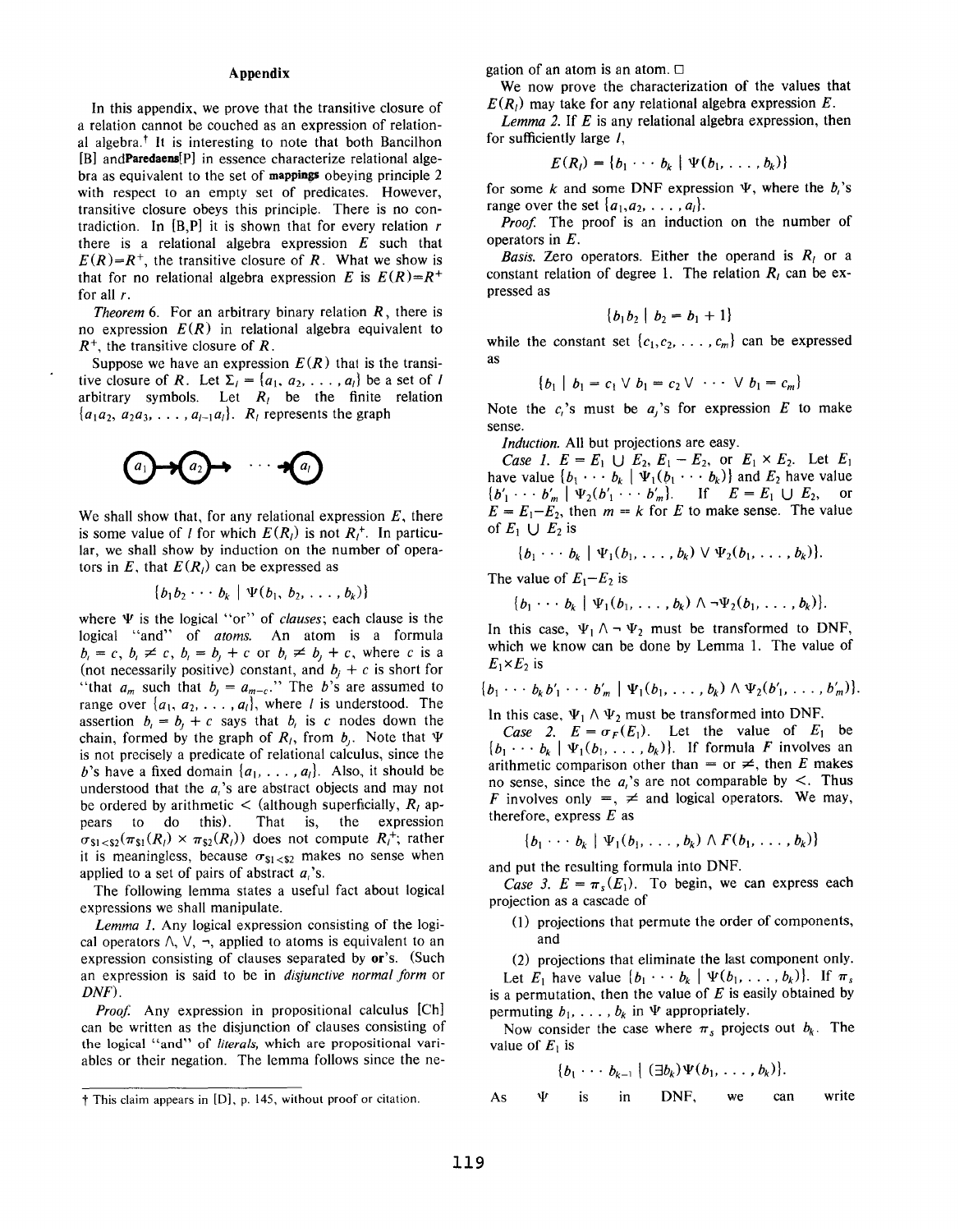#### Appendix

In this appendix. we prove that the transitive closure of a relation cannot be couched as an expression of relational algebra.<sup>†</sup> It is interesting to note that both Bancilhon [B] andParedaena[P] in essence characterize relational algebra as equivalent to the set of mappings obeying principle 2 with respect to an empty set of predicates. However, transitive closure obeys this principle. There is no contradiction. In  $[B, P]$  it is shown that for every relation r there is a relational algebra expression  $E$  such that  $E(R)=R^+$ , the transitive closure of R. What we show is that for no relational algebra expression E is  $E(R)=R^+$ for all r.

Theorem 6. For an arbitrary binary relation  $R$ , there is no expression  $E(R)$  in relational algebra equivalent to  $R^+$ , the transitive closure of R.

Suppose we have an expression  $E(R)$  that is the transitive closure of R. Let  $\Sigma_i = \{a_1, a_2, \ldots, a_i\}$  be a set of l arbitrary symbols. Let  $R_i$  be the finite relation  ${a_1a_2, a_2a_3, \ldots, a_{l-1}a_l}.$  R<sub>i</sub> represents the graph



We shall show that, for any relational expression  $E$ , there is some value of *l* for which  $E(R_i)$  is not  $R_i^+$ . In particular, we shall show by induction on the number of operators in E, that  $E(R_1)$  can be expressed as

$$
\{b_1b_2\cdots b_k\mid \Psi(b_1, b_2, \ldots, b_k)\}\
$$

where  $\Psi$  is the logical "or" of *clauses*; each clause is the logical "and" of atoms. An atom is a formula  $b_i = c, b_i \neq c, b_i = b_j + c$  or  $b_i \neq b_j + c$ , where c is a (not necessarily positive) constant, and  $b_j + c$  is short for "that  $a_m$  such that  $b_j = a_{m-c}$ ." The b's are assumed to range over  $\{a_1, a_2, \ldots, a_l\}$ , where *l* is understood. The assertion  $b_i = b_j + c$  says that  $b_i$  is c nodes down the chain, formed by the graph of  $R_i$ , from  $b_i$ . Note that  $\Psi$ is not precisely a predicate of relational calculus, since the b's have a fixed domain  $\{a_1, \ldots, a_l\}$ . Also, it should be understood that the  $a_i$ 's are abstract objects and may not be ordered by arithmetic  $\lt$  (although superficially,  $R_i$  appears to do this). That is, the expression  $\sigma_{s_1 < s_2}(\pi_{s_1}(R_i) \times \pi_{s_2}(R_i))$  does not compute  $R_i^+$ ; rather it is meaningless, because  $\sigma_{s_1 < s_2}$  makes no sense when applied to a set of pairs of abstract  $a_i$ 's.

The following lemma states a useful fact about logical expressions we shall manipulate.

Lemma 1. Any logical expression consisting of the logical operators  $\wedge$ ,  $\vee$ ,  $\neg$ , applied to atoms is equivalent to an expression consisting of clauses separated by or's. (Such an expression is said to be in disjunctive normal form or DNF).

*Proof.* Any expression in propositional calculus [Ch] can be written as the disjunction of clauses consisting of the logical "and" of *literals*, which are propositional variables or their negation. The lemma follows since the negation of an atom is an atom. ❑

We now prove the characterization of the values that  $E(R_i)$  may take for any relational algebra expression E.

Lemma 2. If  $E$  is any relational algebra expression, then for sufficiently large 1,

$$
E(R_l) = \{b_1 \cdots b_k \mid \Psi(b_1, \ldots, b_k)\}
$$

for some k and some DNF expression  $\Psi$ , where the  $b_i$ 's range over the set  $\{a_1, a_2, \ldots, a_l\}.$ 

Proof. The proof is an induction on the number of operators in E.

Basis. Zero operators. Either the operand is  $R_i$  or a constant relation of degree 1. The relation  $R_i$  can be expressed as

$$
\{b_1b_2 \mid b_2 = b_1 + 1\}
$$

while the constant set  $\{c_1, c_2, \ldots, c_m\}$  can be expressed as

$$
\{b_1 \mid b_1 = c_1 \vee b_1 = c_2 \vee \cdots \vee b_1 = c_m\}
$$

Note the  $c_i$ 's must be  $a_j$ 's for expression E to make sense.

Induction. All but projections are easy.

*Case 1.*  $E = E_1 \cup E_2, E_1 - E_2$ , or  $E_1 \times E_2$ . Let  $E_1$ have value  $\{b_1 \cdots b_k \mid \Psi_1(\phi_1 \cdots \phi_k)\}\$  and  $E_2$  have value  ${b'_1 \cdots b'_m \mid \Psi_2(b'_1 \cdots b'_m)}$ . If  $E = E_1 \cup E_2$ , or  $E = E_1-E_2$ , then  $m = k$  for E to make sense. The value of  $E_1 \cup E_2$  is

$$
\{b_1\cdot\cdot\cdot b_k\mid \Psi_1(b_1,\ldots,b_k)\vee \Psi_2(b_1,\ldots,b_k)\}.
$$

The value of  $E_1-E_2$  is

$$
\{b_1\cdot\cdot\cdot b_k\mid \Psi_1(b_1,\ldots,b_k)\wedge\neg\Psi_2(b_1,\ldots,b_k)\}.
$$

In this case,  $\Psi_1 \wedge \neg \Psi_2$  must be transformed to DNF, which we know can be done by Lemma 1. The value of  $E_1 \times E_2$  is

$$
\{b_1\cdot\cdot\cdot b_k b'_1\cdot\cdot\cdot b'_m \mid \Psi_1(b_1,\ldots,b_k) \wedge \Psi_2(b'_1,\ldots,b'_m)\}.
$$

In this case,  $\Psi_1 \wedge \Psi_2$  must be transformed into DNF.

Case 2.  $E = \sigma_F(E_1)$ . Let the value of  $E_1$  be  ${b_1 \cdots b_k \mid \Psi_1(b_1, \ldots, b_k)}$ . If formula F involves an arithmetic comparison other than = or  $\neq$ , then E makes no sense, since the  $a_i$ 's are not comparable by  $\leq$ . Thus F involves only  $=$ ,  $\neq$  and logical operators. We may, therefore, express  $E$  as

$$
\{b_1\cdots b_k\mid \Psi_1(b_1,\ldots,b_k)\wedge F(b_1,\ldots,b_k)\}\
$$

and put the resulting formula into DNF.

Case 3.  $E = \pi_s(E_1)$ . To begin, we can express each projection as a cascade of

(1) projections that permute the order of components, and

(2) projections that eliminate the last component only. Let  $E_1$  have value  $\{b_1 \cdots b_k \mid \Psi(b_1, \ldots, b_k)\}$ . If  $\pi_s$ is a permutation, then the value of  $E$  is easily obtained by permuting  $b_1, \ldots, b_k$  in  $\Psi$  appropriately.

Now consider the case where  $\pi_s$  projects out  $b_k$ . The value of  $E_1$  is

$$
\{b_1\cdots b_{k-1}\mid (\exists b_k)\Psi(b_1,\ldots,b_k)\}.
$$

As  $\Psi$  is in  $\rho_{\text{NF}}$ , we can write

<sup>†</sup> This claim appears in [D], p. 145, without proof or citation.